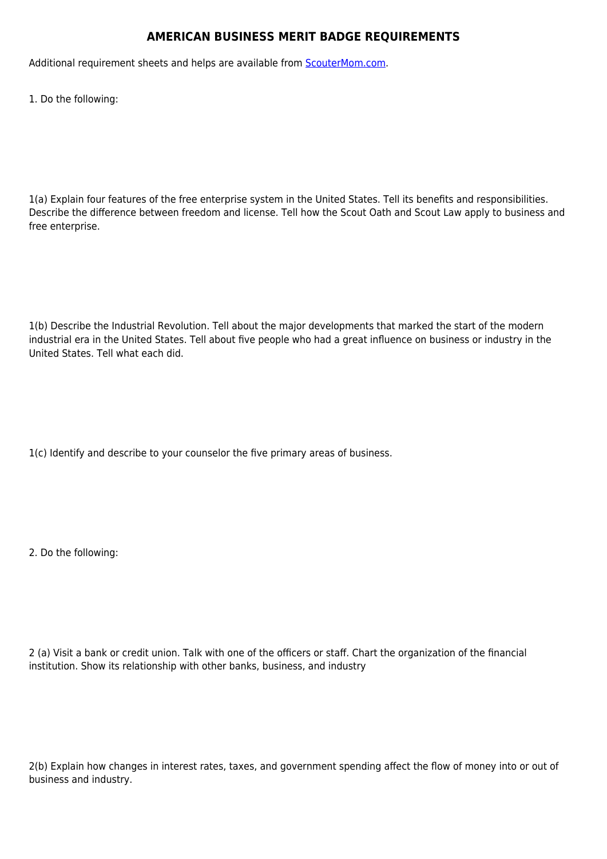## **AMERICAN BUSINESS MERIT BADGE REQUIREMENTS**

Additional requirement sheets and helps are available from [ScouterMom.com](http://scoutermom.com).

1. Do the following:

1(a) Explain four features of the free enterprise system in the United States. Tell its benefits and responsibilities. Describe the difference between freedom and license. Tell how the Scout Oath and Scout Law apply to business and free enterprise.

1(b) Describe the Industrial Revolution. Tell about the major developments that marked the start of the modern industrial era in the United States. Tell about five people who had a great influence on business or industry in the United States. Tell what each did.

1(c) Identify and describe to your counselor the five primary areas of business.

2. Do the following:

2 (a) Visit a bank or credit union. Talk with one of the officers or staff. Chart the organization of the financial institution. Show its relationship with other banks, business, and industry

2(b) Explain how changes in interest rates, taxes, and government spending affect the flow of money into or out of business and industry.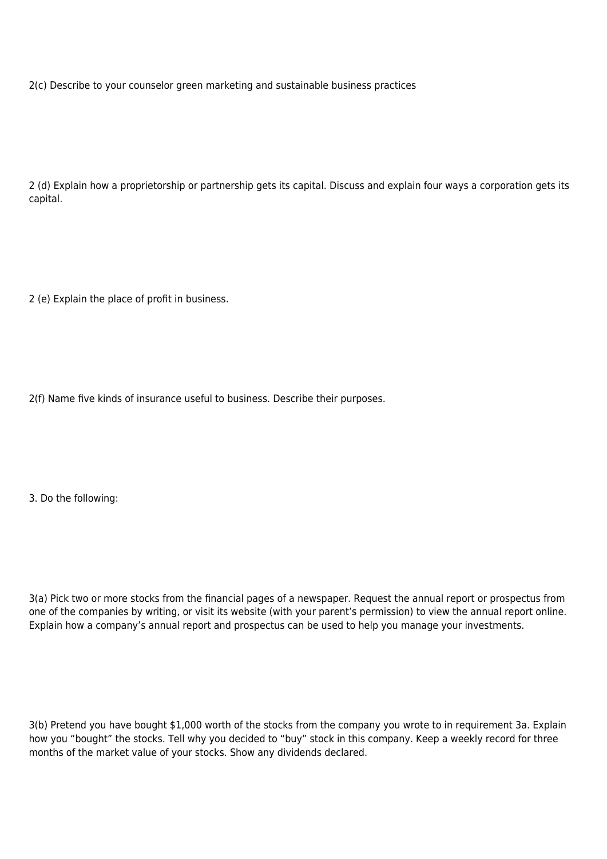2(c) Describe to your counselor green marketing and sustainable business practices

2 (d) Explain how a proprietorship or partnership gets its capital. Discuss and explain four ways a corporation gets its capital.

2 (e) Explain the place of profit in business.

2(f) Name five kinds of insurance useful to business. Describe their purposes.

3. Do the following:

3(a) Pick two or more stocks from the financial pages of a newspaper. Request the annual report or prospectus from one of the companies by writing, or visit its website (with your parent's permission) to view the annual report online. Explain how a company's annual report and prospectus can be used to help you manage your investments.

3(b) Pretend you have bought \$1,000 worth of the stocks from the company you wrote to in requirement 3a. Explain how you "bought" the stocks. Tell why you decided to "buy" stock in this company. Keep a weekly record for three months of the market value of your stocks. Show any dividends declared.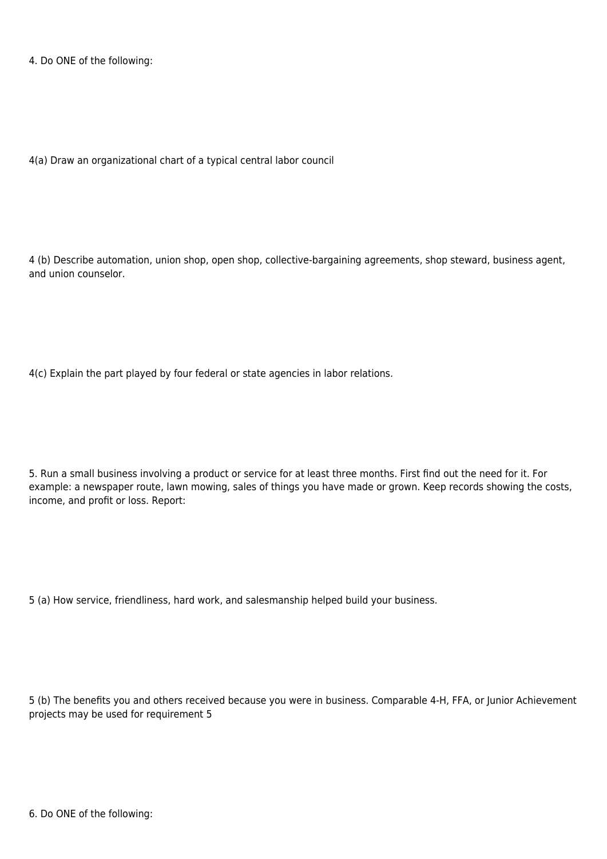4. Do ONE of the following:

4(a) Draw an organizational chart of a typical central labor council

4 (b) Describe automation, union shop, open shop, collective-bargaining agreements, shop steward, business agent, and union counselor.

4(c) Explain the part played by four federal or state agencies in labor relations.

5. Run a small business involving a product or service for at least three months. First find out the need for it. For example: a newspaper route, lawn mowing, sales of things you have made or grown. Keep records showing the costs, income, and profit or loss. Report:

5 (a) How service, friendliness, hard work, and salesmanship helped build your business.

5 (b) The benefits you and others received because you were in business. Comparable 4-H, FFA, or Junior Achievement projects may be used for requirement 5